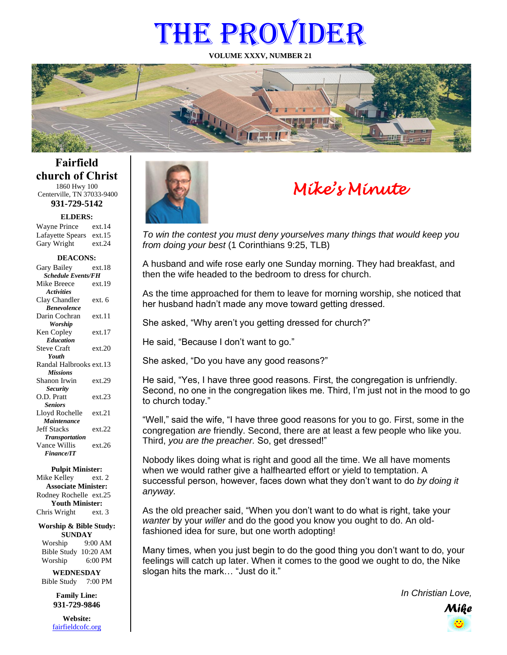# THE PROVIDER

**VOLUME XXXV, NUMBER 21**



**Fairfield church of Christ** 1860 Hwy 100 Centerville, TN 37033-9400

**931-729-5142**

**ELDERS:** Wayne Prince ext.14

## Gary Wright ext.24 Lafayette Spears ext.15

| <b>DEACONS:</b>           |        |  |
|---------------------------|--------|--|
| Gary Bailey               | ext.18 |  |
| <b>Schedule Events/FH</b> |        |  |
| Mike Breece               | ext.19 |  |
| <b>Activities</b>         |        |  |
| Clay Chandler             | ext. 6 |  |
| <b>Benevolence</b>        |        |  |
| Darin Cochran             | ext 11 |  |
| Worship                   |        |  |
| Ken Copley                | ext.17 |  |
| <b>Education</b>          |        |  |
| <b>Steve Craft</b>        | ext.20 |  |
| <b>Youth</b>              |        |  |
| Randal Halbrooks ext.13   |        |  |
| <b>Missions</b>           |        |  |
| Shanon Irwin              | ext.29 |  |
| <b>Security</b>           |        |  |
| O.D. Pratt                | ext.23 |  |
| <b>Seniors</b>            |        |  |
| Lloyd Rochelle            | ext.21 |  |
| Maintenance               |        |  |
| <b>Jeff Stacks</b>        | ext.22 |  |
| <b>Transportation</b>     |        |  |
| Vance Willis              | ext.26 |  |
| <b>Finance/IT</b>         |        |  |

#### **Pulpit Minister:**

Mike Kelley ext. 2 **Associate Minister:** Rodney Rochelle ext.25 **Youth Minister:** Chris Wright ext. 3

**Worship & Bible Study: SUNDAY**

Worship 9:00 AM Bible Study 10:20 AM Worship 6:00 PM

**WEDNESDAY** Bible Study 7:00 PM

> **Family Line: 931-729-9846**

**Website:** [fairfieldcofc.org](file:///C:/Users/RickJoyce/Documents/Fairfield%20Website%20Files/fairfieldchurchofchrist.org)



# *Mike's Minute*

*To win the contest you must deny yourselves many things that would keep you from doing your best* (1 Corinthians 9:25, TLB)

A husband and wife rose early one Sunday morning. They had breakfast, and then the wife headed to the bedroom to dress for church.

As the time approached for them to leave for morning worship, she noticed that her husband hadn't made any move toward getting dressed.

She asked, "Why aren't you getting dressed for church?"

He said, "Because I don't want to go."

She asked, "Do you have any good reasons?"

He said, "Yes, I have three good reasons. First, the congregation is unfriendly. Second, no one in the congregation likes me. Third, I'm just not in the mood to go to church today."

"Well," said the wife, "I have three good reasons for you to go. First, some in the congregation *are* friendly. Second, there are at least a few people who like you. Third, *you are the preacher.* So, get dressed!"

Nobody likes doing what is right and good all the time. We all have moments when we would rather give a halfhearted effort or yield to temptation. A successful person, however, faces down what they don't want to do *by doing it anyway.*

As the old preacher said, "When you don't want to do what is right, take your *wanter* by your *willer* and do the good you know you ought to do. An oldfashioned idea for sure, but one worth adopting!

Many times, when you just begin to do the good thing you don't want to do, your feelings will catch up later. When it comes to the good we ought to do, the Nike slogan hits the mark… "Just do it."

*In Christian Love,*

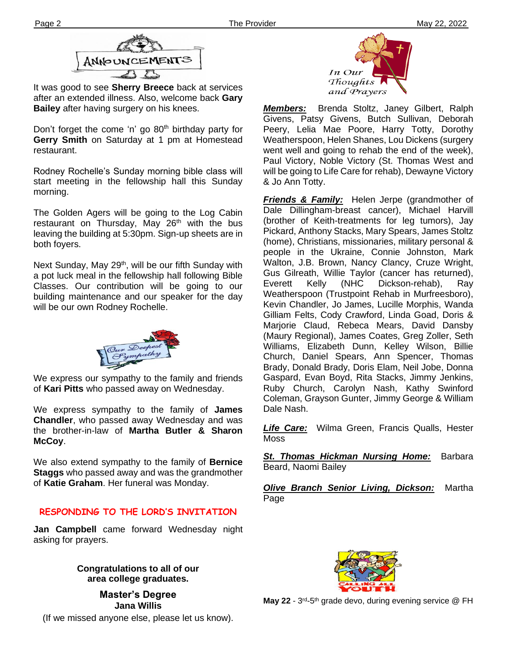

It was good to see **Sherry Breece** back at services after an extended illness. Also, welcome back **Gary Bailey** after having surgery on his knees.

Don't forget the come 'n' go  $80<sup>th</sup>$  birthday party for **Gerry Smith** on Saturday at 1 pm at Homestead restaurant.

Rodney Rochelle's Sunday morning bible class will start meeting in the fellowship hall this Sunday morning.

The Golden Agers will be going to the Log Cabin restaurant on Thursday, May  $26<sup>th</sup>$  with the bus leaving the building at 5:30pm. Sign-up sheets are in both foyers.

Next Sunday, May 29<sup>th</sup>, will be our fifth Sunday with a pot luck meal in the fellowship hall following Bible Classes. Our contribution will be going to our building maintenance and our speaker for the day will be our own Rodney Rochelle.



We express our sympathy to the family and friends of **Kari Pitts** who passed away on Wednesday.

We express sympathy to the family of **James Chandler**, who passed away Wednesday and was the brother-in-law of **Martha Butler & Sharon McCoy**.

**Staggs** who passed away and was the grandmother We also extend sympathy to the family of **Bernice**  of **Katie Graham**. Her funeral was Monday.

# **RESPONDING TO THE LORD'S INVITATION**

**Jan Campbell** came forward Wednesday night asking for prayers.

> **Congratulations to all of our area college graduates.**

**Master's Degree Jana Willis** (If we missed anyone else, please let us know).



*Members:* Brenda Stoltz, Janey Gilbert, Ralph Givens, Patsy Givens, Butch Sullivan, Deborah Peery, Lelia Mae Poore, Harry Totty, Dorothy Weatherspoon, Helen Shanes, Lou Dickens (surgery went well and going to rehab the end of the week), Paul Victory, Noble Victory (St. Thomas West and will be going to Life Care for rehab), Dewayne Victory & Jo Ann Totty.

*Friends & Family:* Helen Jerpe (grandmother of Dale Dillingham-breast cancer), Michael Harvill (brother of Keith-treatments for leg tumors), Jay Pickard, Anthony Stacks, Mary Spears, James Stoltz (home), Christians, missionaries, military personal & people in the Ukraine, Connie Johnston, Mark Walton, J.B. Brown, Nancy Clancy, Cruze Wright, Gus Gilreath, Willie Taylor (cancer has returned), Everett Kelly (NHC Dickson-rehab), Ray Weatherspoon (Trustpoint Rehab in Murfreesboro), Kevin Chandler, Jo James, Lucille Morphis, Wanda Gilliam Felts, Cody Crawford, Linda Goad, Doris & Marjorie Claud, Rebeca Mears, David Dansby (Maury Regional), James Coates, Greg Zoller, Seth Williams, Elizabeth Dunn, Kelley Wilson, Billie Church, Daniel Spears, Ann Spencer, Thomas Brady, Donald Brady, Doris Elam, Neil Jobe, Donna Gaspard, Evan Boyd, Rita Stacks, Jimmy Jenkins, Ruby Church, Carolyn Nash, Kathy Swinford Coleman, Grayson Gunter, Jimmy George & William Dale Nash.

*Life Care:* Wilma Green, Francis Qualls, Hester Moss

*St. Thomas Hickman Nursing Home:* Barbara Beard, Naomi Bailey

*Olive Branch Senior Living, Dickson:* Martha Page



May 22 - 3<sup>rd</sup>-5<sup>th</sup> grade devo, during evening service @ FH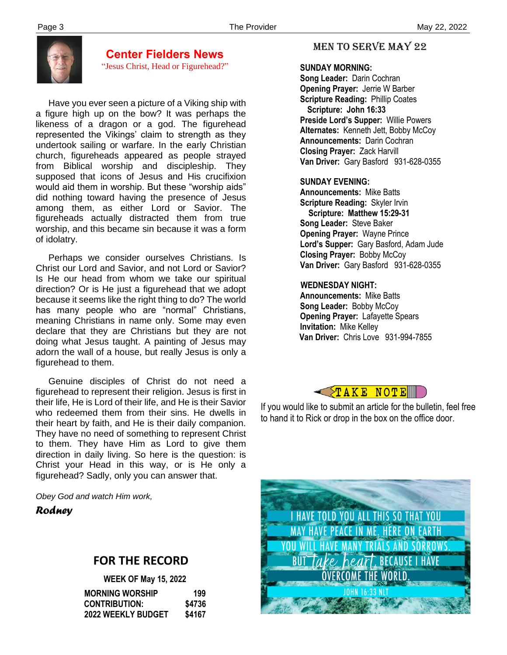

**Center Fielders News** "Jesus Christ, Head or Figurehead?"

 Have you ever seen a picture of a Viking ship with a figure high up on the bow? It was perhaps the likeness of a dragon or a god. The figurehead represented the Vikings' claim to strength as they undertook sailing or warfare. In the early Christian church, figureheads appeared as people strayed from Biblical worship and discipleship. They supposed that icons of Jesus and His crucifixion would aid them in worship. But these "worship aids" did nothing toward having the presence of Jesus among them, as either Lord or Savior. The figureheads actually distracted them from true worship, and this became sin because it was a form of idolatry.

 Perhaps we consider ourselves Christians. Is Christ our Lord and Savior, and not Lord or Savior? Is He our head from whom we take our spiritual direction? Or is He just a figurehead that we adopt because it seems like the right thing to do? The world has many people who are "normal" Christians, meaning Christians in name only. Some may even declare that they are Christians but they are not doing what Jesus taught. A painting of Jesus may adorn the wall of a house, but really Jesus is only a figurehead to them.

 Christ your Head in this way, or is He only a Genuine disciples of Christ do not need a figurehead to represent their religion. Jesus is first in their life, He is Lord of their life, and He is their Savior who redeemed them from their sins. He dwells in their heart by faith, and He is their daily companion. They have no need of something to represent Christ to them. They have Him as Lord to give them direction in daily living. So here is the question: is figurehead? Sadly, only you can answer that.

*Obey God and watch Him work,*

*Rodney*

# **FOR THE RECORD**

|                           | <b>WEEK OF May 15, 2022</b> |  |
|---------------------------|-----------------------------|--|
| <b>MORNING WORSHIP</b>    | 199                         |  |
| <b>CONTRIBUTION:</b>      | \$4736                      |  |
| <b>2022 WEEKLY BUDGET</b> | \$4167                      |  |

# MEN TO SERVE may 22

#### **SUNDAY MORNING:**

**Song Leader:** Darin Cochran  **Opening Prayer:** Jerrie W Barber **Scripture Reading:** Phillip Coates  **Scripture: John 16:33 Preside Lord's Supper:** Willie Powers  **Alternates:** Kenneth Jett, Bobby McCoy  **Announcements:** Darin Cochran  **Closing Prayer:** Zack Harvill **Van Driver:** Gary Basford 931-628-0355

**SUNDAY EVENING:**

**Announcements:** Mike Batts **Scripture Reading:** Skyler Irvin  **Scripture: Matthew 15:29-31 Song Leader:** Steve Baker **Opening Prayer:** Wayne Prince **Lord's Supper:** Gary Basford, Adam Jude **Closing Prayer:** Bobby McCoy **Van Driver:** Gary Basford 931-628-0355

# **WEDNESDAY NIGHT:**

**Announcements:** Mike Batts **Song Leader:** Bobby McCoy **Opening Prayer:** Lafayette Spears **Invitation:** Mike Kelley  **Van Driver:** Chris Love 931-994-7855



If you would like to submit an article for the bulletin, feel free to hand it to Rick or drop in the box on the office door.